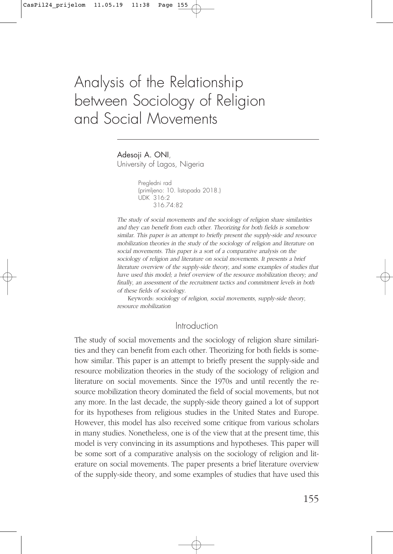# Analysis of the Relationship between Sociology of Religion and Social Movements

Adesoji A. ONI,

University of Lagos, Nigeria

Pregledni rad (primljeno: 10. listopada 2018.) UDK 316:2 316.74:82

The study of social movements and the sociology of religion share similarities and they can benefit from each other. Theorizing for both fields is somehow similar. This paper is an attempt to briefly present the supply-side and resource mobilization theories in the study of the sociology of religion and literature on social movements. This paper is a sort of a comparative analysis on the sociology of religion and literature on social movements. It presents a brief literature overview of the supply-side theory, and some examples of studies that have used this model; a brief overview of the resource mobilization theory; and finally, an assessment of the recruitment tactics and commitment levels in both of these fields of sociology.

Keywords: sociology of religion, social movements, supply-side theory, resource mobilization

### Introduction

The study of social movements and the sociology of religion share similarities and they can benefit from each other. Theorizing for both fields is somehow similar. This paper is an attempt to briefly present the supply-side and resource mobilization theories in the study of the sociology of religion and literature on social movements. Since the 1970s and until recently the resource mobilization theory dominated the field of social movements, but not any more. In the last decade, the supply-side theory gained a lot of support for its hypotheses from religious studies in the United States and Europe. However, this model has also received some critique from various scholars in many studies. Nonetheless, one is of the view that at the present time, this model is very convincing in its assumptions and hypotheses. This paper will be some sort of a comparative analysis on the sociology of religion and literature on social movements. The paper presents a brief literature overview of the supply-side theory, and some examples of studies that have used this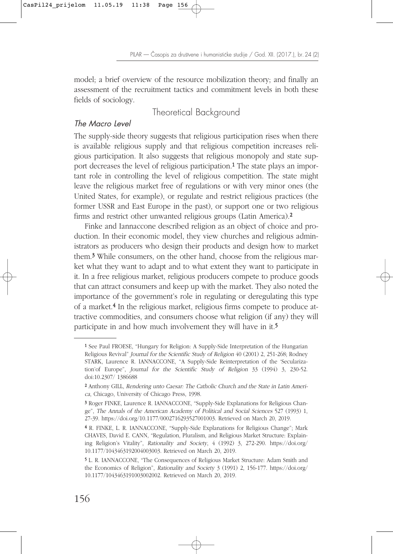model; a brief overview of the resource mobilization theory; and finally an assessment of the recruitment tactics and commitment levels in both these fields of sociology.

# Theoretical Background

#### The Macro Level

The supply-side theory suggests that religious participation rises when there is available religious supply and that religious competition increases religious participation. It also suggests that religious monopoly and state support decreases the level of religious participation.<sup>1</sup> The state plays an important role in controlling the level of religious competition. The state might leave the religious market free of regulations or with very minor ones (the United States, for example), or regulate and restrict religious practices (the former USSR and East Europe in the past), or support one or two religious firms and restrict other unwanted religious groups (Latin America).2

Finke and Iannaccone described religion as an object of choice and production. In their economic model, they view churches and religious administrators as producers who design their products and design how to market them.3 While consumers, on the other hand, choose from the religious market what they want to adapt and to what extent they want to participate in it. In a free religious market, religious producers compete to produce goods that can attract consumers and keep up with the market. They also noted the importance of the government's role in regulating or deregulating this type of a market.4 In the religious market, religious firms compete to produce attractive commodities, and consumers choose what religion (if any) they will participate in and how much involvement they will have in it.5

<sup>1</sup> See Paul FROESE, "Hungary for Religion: A Supply-Side Interpretation of the Hungarian Religious Revival" Journal for the Scientific Study of Religion 40 (2001) 2, 251-268; Rodney STARK, Laurence R. IANNACCONE, "A Supply-Side Reinterpretation of the 'Secularization'of Europe", Journal for the Scientific Study of Religion 33 (1994) 3, 230-52. doi:10.2307/ 1386688

<sup>2</sup> Anthony GILL, Rendering unto Caesar: The Catholic Church and the State in Latin America, Chicago, University of Chicago Press, 1998.

<sup>3</sup> Roger FINKE, Laurence R. IANNACCONE, "Supply-Side Explanations for Religious Change", The Annals of the American Academy of Political and Social Sciences 527 (1993) 1, 27-39. https://doi.org/10.1177/0002716293527001003. Retrieved on March 20, 2019.

<sup>4</sup> R. FINKE, L. R. IANNACCONE, "Supply-Side Explanations for Religious Change"; Mark CHAVES, David E. CANN, "Regulation, Pluralism, and Religious Market Structure: Explaining Religion's Vitality", Rationality and Society, 4 (1992) 3, 272-290. https://doi.org/ 10.1177/1043463192004003003. Retrieved on March 20, 2019.

<sup>5</sup> L. R. IANNACCONE, "The Consequences of Religious Market Structure: Adam Smith and the Economics of Religion", Rationality and Society 3 (1991) 2, 156-177. https://doi.org/ 10.1177/1043463191003002002. Retrieved on March 20, 2019.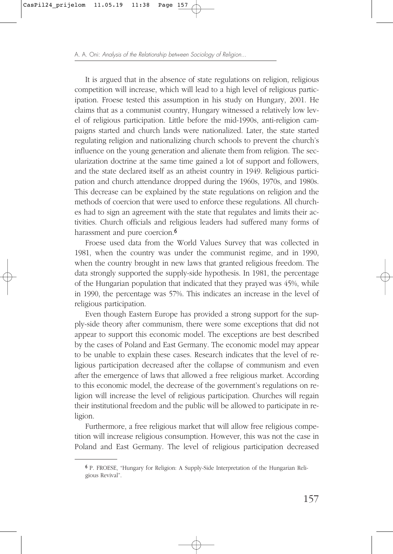It is argued that in the absence of state regulations on religion, religious competition will increase, which will lead to a high level of religious participation. Froese tested this assumption in his study on Hungary, 2001. He claims that as a communist country, Hungary witnessed a relatively low level of religious participation. Little before the mid-1990s, anti-religion campaigns started and church lands were nationalized. Later, the state started regulating religion and nationalizing church schools to prevent the church's influence on the young generation and alienate them from religion. The secularization doctrine at the same time gained a lot of support and followers, and the state declared itself as an atheist country in 1949. Religious participation and church attendance dropped during the 1960s, 1970s, and 1980s. This decrease can be explained by the state regulations on religion and the methods of coercion that were used to enforce these regulations. All churches had to sign an agreement with the state that regulates and limits their activities. Church officials and religious leaders had suffered many forms of harassment and pure coercion.<sup>6</sup>

Froese used data from the World Values Survey that was collected in 1981, when the country was under the communist regime, and in 1990, when the country brought in new laws that granted religious freedom. The data strongly supported the supply-side hypothesis. In 1981, the percentage of the Hungarian population that indicated that they prayed was 45%, while in 1990, the percentage was 57%. This indicates an increase in the level of religious participation.

Even though Eastern Europe has provided a strong support for the supply-side theory after communism, there were some exceptions that did not appear to support this economic model. The exceptions are best described by the cases of Poland and East Germany. The economic model may appear to be unable to explain these cases. Research indicates that the level of religious participation decreased after the collapse of communism and even after the emergence of laws that allowed a free religious market. According to this economic model, the decrease of the government's regulations on religion will increase the level of religious participation. Churches will regain their institutional freedom and the public will be allowed to participate in religion.

Furthermore, a free religious market that will allow free religious competition will increase religious consumption. However, this was not the case in Poland and East Germany. The level of religious participation decreased

<sup>6</sup> P. FROESE, "Hungary for Religion: A Supply-Side Interpretation of the Hungarian Religious Revival".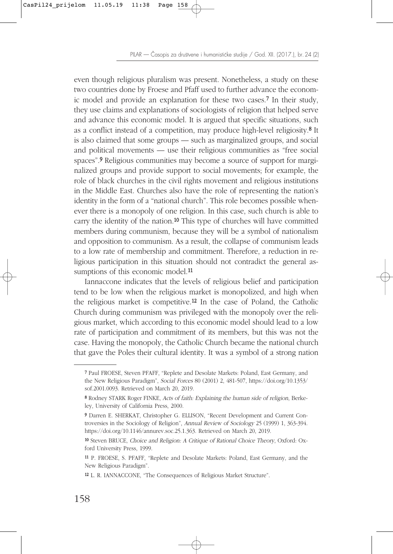even though religious pluralism was present. Nonetheless, a study on these two countries done by Froese and Pfaff used to further advance the economic model and provide an explanation for these two cases.7 In their study, they use claims and explanations of sociologists of religion that helped serve and advance this economic model. It is argued that specific situations, such as a conflict instead of a competition, may produce high-level religiosity.8 It is also claimed that some groups — such as marginalized groups, and social and political movements — use their religious communities as "free social spaces".9 Religious communities may become a source of support for marginalized groups and provide support to social movements; for example, the role of black churches in the civil rights movement and religious institutions in the Middle East. Churches also have the role of representing the nation's identity in the form of a "national church". This role becomes possible whenever there is a monopoly of one religion. In this case, such church is able to carry the identity of the nation.10 This type of churches will have committed members during communism, because they will be a symbol of nationalism and opposition to communism. As a result, the collapse of communism leads to a low rate of membership and commitment. Therefore, a reduction in religious participation in this situation should not contradict the general assumptions of this economic model.<sup>11</sup>

Iannaccone indicates that the levels of religious belief and participation tend to be low when the religious market is monopolized, and high when the religious market is competitive.12 In the case of Poland, the Catholic Church during communism was privileged with the monopoly over the religious market, which according to this economic model should lead to a low rate of participation and commitment of its members, but this was not the case. Having the monopoly, the Catholic Church became the national church that gave the Poles their cultural identity. It was a symbol of a strong nation

<sup>7</sup> Paul FROESE, Steven PFAFF, "Replete and Desolate Markets: Poland, East Germany, and the New Religious Paradigm", Social Forces 80 (2001) 2, 481-507, https://doi.org/10.1353/ sof.2001.0093. Retrieved on March 20, 2019.

<sup>8</sup> Rodney STARK Roger FINKE, Acts of faith: Explaining the human side of religion, Berkeley, University of California Press, 2000.

<sup>9</sup> Darren E. SHERKAT, Christopher G. ELLISON, "Recent Development and Current Controversies in the Sociology of Religion", Annual Review of Sociology 25 (1999) 1, 363-394. https://doi.org/10.1146/annurev.soc.25.1.363. Retrieved on March 20, 2019.

<sup>10</sup> Steven BRUCE, Choice and Religion: A Critique of Rational Choice Theory, Oxford: Oxford University Press, 1999.

<sup>11</sup> P. FROESE, S. PFAFF, "Replete and Desolate Markets: Poland, East Germany, and the New Religious Paradigm".

<sup>12</sup> L. R. IANNACCONE, "The Consequences of Religious Market Structure".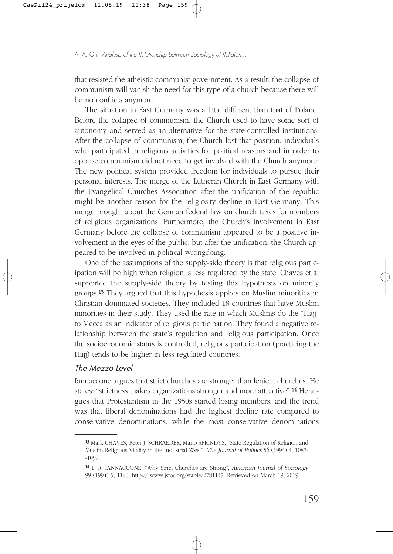that resisted the atheistic communist government. As a result, the collapse of communism will vanish the need for this type of a church because there will be no conflicts anymore.

The situation in East Germany was a little different than that of Poland. Before the collapse of communism, the Church used to have some sort of autonomy and served as an alternative for the state-controlled institutions. After the collapse of communism, the Church lost that position, individuals who participated in religious activities for political reasons and in order to oppose communism did not need to get involved with the Church anymore. The new political system provided freedom for individuals to pursue their personal interests. The merge of the Lutheran Church in East Germany with the Evangelical Churches Association after the unification of the republic might be another reason for the religiosity decline in East Germany. This merge brought about the German federal law on church taxes for members of religious organizations. Furthermore, the Church's involvement in East Germany before the collapse of communism appeared to be a positive involvement in the eyes of the public, but after the unification, the Church appeared to be involved in political wrongdoing.

One of the assumptions of the supply-side theory is that religious participation will be high when religion is less regulated by the state. Chaves et al supported the supply-side theory by testing this hypothesis on minority groups.13 They argued that this hypothesis applies on Muslim minorities in Christian dominated societies. They included 18 countries that have Muslim minorities in their study. They used the rate in which Muslims do the "Hajj" to Mecca as an indicator of religious participation. They found a negative relationship between the state's regulation and religious participation. Once the socioeconomic status is controlled, religious participation (practicing the Hajj) tends to be higher in less-regulated countries.

#### The Mezzo Level

Iannaccone argues that strict churches are stronger than lenient churches. He states: "strictness makes organizations stronger and more attractive".14 He argues that Protestantism in the 1950s started losing members, and the trend was that liberal denominations had the highest decline rate compared to conservative denominations, while the most conservative denominations

<sup>13</sup> Mark CHAVES, Peter J. SCHRAEDER, Mario SPRINDYS, "State Regulation of Religion and Muslim Religious Vitality in the Industrial West", The Journal of Politics 56 (1994) 4, 1087- -1097.

<sup>14</sup> L. R. IANNACCONE, "Why Strict Churches are Strong", American Journal of Sociology 99 (1994) 5, 1180. http:// www.jstor.org/stable/2781147. Retrieved on March 19, 2019.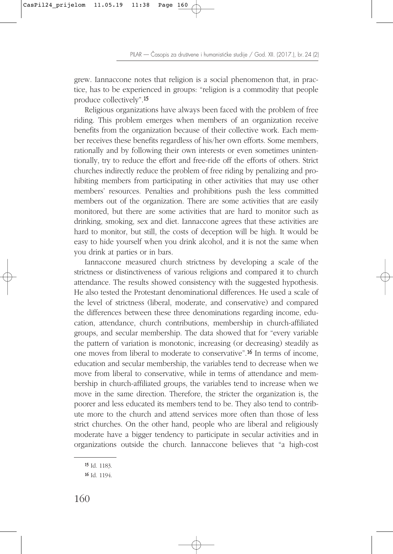grew. Iannaccone notes that religion is a social phenomenon that, in practice, has to be experienced in groups: "religion is a commodity that people produce collectively".15

Religious organizations have always been faced with the problem of free riding. This problem emerges when members of an organization receive benefits from the organization because of their collective work. Each member receives these benefits regardless of his/her own efforts. Some members, rationally and by following their own interests or even sometimes unintentionally, try to reduce the effort and free-ride off the efforts of others. Strict churches indirectly reduce the problem of free riding by penalizing and prohibiting members from participating in other activities that may use other members' resources. Penalties and prohibitions push the less committed members out of the organization. There are some activities that are easily monitored, but there are some activities that are hard to monitor such as drinking, smoking, sex and diet. Iannaccone agrees that these activities are hard to monitor, but still, the costs of deception will be high. It would be easy to hide yourself when you drink alcohol, and it is not the same when you drink at parties or in bars.

Iannaccone measured church strictness by developing a scale of the strictness or distinctiveness of various religions and compared it to church attendance. The results showed consistency with the suggested hypothesis. He also tested the Protestant denominational differences. He used a scale of the level of strictness (liberal, moderate, and conservative) and compared the differences between these three denominations regarding income, education, attendance, church contributions, membership in church-affiliated groups, and secular membership. The data showed that for "every variable the pattern of variation is monotonic, increasing (or decreasing) steadily as one moves from liberal to moderate to conservative".16 In terms of income, education and secular membership, the variables tend to decrease when we move from liberal to conservative, while in terms of attendance and membership in church-affiliated groups, the variables tend to increase when we move in the same direction. Therefore, the stricter the organization is, the poorer and less educated its members tend to be. They also tend to contribute more to the church and attend services more often than those of less strict churches. On the other hand, people who are liberal and religiously moderate have a bigger tendency to participate in secular activities and in organizations outside the church. Iannaccone believes that "a high-cost

<sup>15</sup> Id. 1183.

<sup>16</sup> Id. 1194.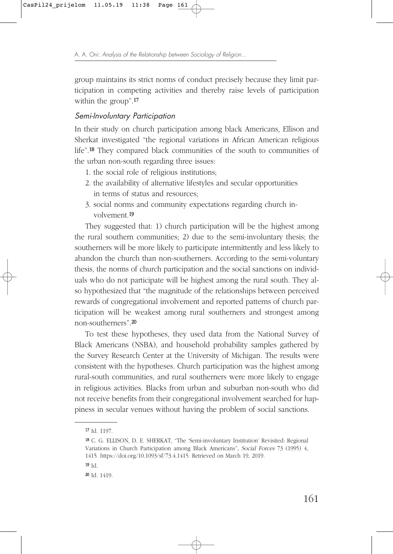group maintains its strict norms of conduct precisely because they limit participation in competing activities and thereby raise levels of participation within the group".<sup>17</sup>

#### Semi-Involuntary Participation

In their study on church participation among black Americans, Ellison and Sherkat investigated "the regional variations in African American religious life".18 They compared black communities of the south to communities of the urban non-south regarding three issues:

- 1. the social role of religious institutions;
- 2. the availability of alternative lifestyles and secular opportunities in terms of status and resources;
- 3. social norms and community expectations regarding church involvement.19

They suggested that: 1) church participation will be the highest among the rural southern communities; 2) due to the semi-involuntary thesis; the southerners will be more likely to participate intermittently and less likely to abandon the church than non-southerners. According to the semi-voluntary thesis, the norms of church participation and the social sanctions on individuals who do not participate will be highest among the rural south. They also hypothesized that "the magnitude of the relationships between perceived rewards of congregational involvement and reported patterns of church participation will be weakest among rural southerners and strongest among non-southerners".20

To test these hypotheses, they used data from the National Survey of Black Americans (NSBA), and household probability samples gathered by the Survey Research Center at the University of Michigan. The results were consistent with the hypotheses. Church participation was the highest among rural-south communities, and rural southerners were more likely to engage in religious activities. Blacks from urban and suburban non-south who did not receive benefits from their congregational involvement searched for happiness in secular venues without having the problem of social sanctions.

<sup>17</sup> Id. 1197.

<sup>18</sup> C. G. ELLISON, D. E. SHERKAT, "The 'Semi-involuntary Institution' Revisited: Regional Variations in Church Participation among Black Americans", Social Forces 73 (1995) 4, 1415. https://doi.org/10.1093/sf/73.4.1415. Retrieved on March 19, 2019.

<sup>19</sup> Id.

<sup>20</sup> Id. 1419.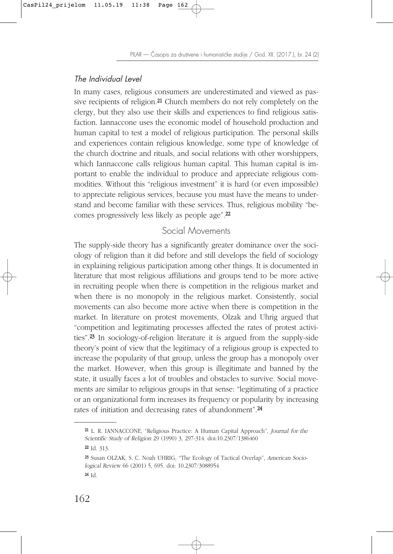PILAR — Časopis za društvene i humanističke studije / God. XII. (2017.), br. 24 (2)

# The Individual Level

In many cases, religious consumers are underestimated and viewed as passive recipients of religion.21 Church members do not rely completely on the clergy, but they also use their skills and experiences to find religious satisfaction. Iannaccone uses the economic model of household production and human capital to test a model of religious participation. The personal skills and experiences contain religious knowledge, some type of knowledge of the church doctrine and rituals, and social relations with other worshippers, which Iannaccone calls religious human capital. This human capital is important to enable the individual to produce and appreciate religious commodities. Without this "religious investment" it is hard (or even impossible) to appreciate religious services, because you must have the means to understand and become familiar with these services. Thus, religious mobility "becomes progressively less likely as people age".22

# Social Movements

The supply-side theory has a significantly greater dominance over the sociology of religion than it did before and still develops the field of sociology in explaining religious participation among other things. It is documented in literature that most religious affiliations and groups tend to be more active in recruiting people when there is competition in the religious market and when there is no monopoly in the religious market. Consistently, social movements can also become more active when there is competition in the market. In literature on protest movements, Olzak and Uhrig argued that "competition and legitimating processes affected the rates of protest activities".23 In sociology-of-religion literature it is argued from the supply-side theory's point of view that the legitimacy of a religious group is expected to increase the popularity of that group, unless the group has a monopoly over the market. However, when this group is illegitimate and banned by the state, it usually faces a lot of troubles and obstacles to survive. Social movements are similar to religious groups in that sense: "legitimating of a practice or an organizational form increases its frequency or popularity by increasing rates of initiation and decreasing rates of abandonment".24

<sup>21</sup> L. R. IANNACCONE, "Religious Practice: A Human Capital Approach", Journal for the Scientific Study of Religion 29 (1990) 3, 297-314. doi:10.2307/1386460

<sup>22</sup> Id. 313.

<sup>23</sup> Susan OLZAK, S. C. Noah UHRIG, "The Ecology of Tactical Overlap", American Sociological Review 66 (2001) 5, 695. doi: 10.2307/3088954

<sup>24</sup> Id.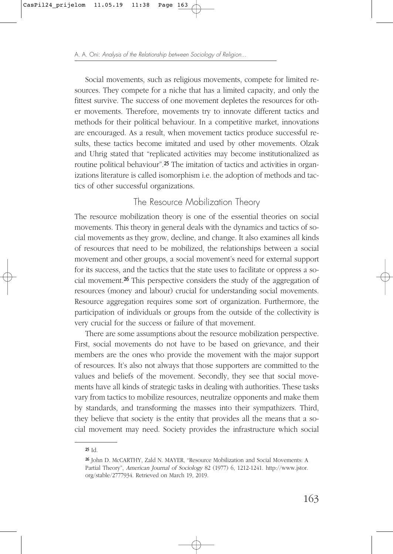Social movements, such as religious movements, compete for limited resources. They compete for a niche that has a limited capacity, and only the fittest survive. The success of one movement depletes the resources for other movements. Therefore, movements try to innovate different tactics and methods for their political behaviour. In a competitive market, innovations are encouraged. As a result, when movement tactics produce successful results, these tactics become imitated and used by other movements. Olzak and Uhrig stated that "replicated activities may become institutionalized as routine political behaviour".<sup>25</sup> The imitation of tactics and activities in organizations literature is called isomorphism i.e. the adoption of methods and tactics of other successful organizations.

# The Resource Mobilization Theory

The resource mobilization theory is one of the essential theories on social movements. This theory in general deals with the dynamics and tactics of social movements as they grow, decline, and change. It also examines all kinds of resources that need to be mobilized, the relationships between a social movement and other groups, a social movement's need for external support for its success, and the tactics that the state uses to facilitate or oppress a social movement.26 This perspective considers the study of the aggregation of resources (money and labour) crucial for understanding social movements. Resource aggregation requires some sort of organization. Furthermore, the participation of individuals or groups from the outside of the collectivity is very crucial for the success or failure of that movement.

There are some assumptions about the resource mobilization perspective. First, social movements do not have to be based on grievance, and their members are the ones who provide the movement with the major support of resources. It's also not always that those supporters are committed to the values and beliefs of the movement. Secondly, they see that social movements have all kinds of strategic tasks in dealing with authorities. These tasks vary from tactics to mobilize resources, neutralize opponents and make them by standards, and transforming the masses into their sympathizers. Third, they believe that society is the entity that provides all the means that a social movement may need. Society provides the infrastructure which social

 $25$   $Id$ .

<sup>26</sup> John D. McCARTHY, Zald N. MAYER, "Resource Mobilization and Social Movements: A Partial Theory", American Journal of Sociology 82 (1977) 6, 1212-1241. http://www.jstor. org/stable/2777934. Retrieved on March 19, 2019.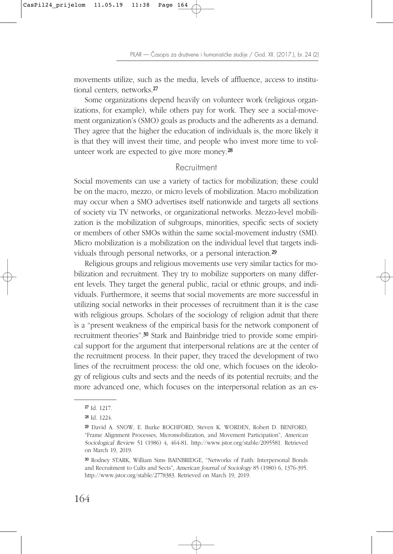PILAR — Časopis za društvene i humanističke studije / God. XII. (2017.), br. 24 (2)

movements utilize, such as the media, levels of affluence, access to institutional centers, networks.27

Some organizations depend heavily on volunteer work (religious organizations, for example), while others pay for work. They see a social-movement organization's (SMO) goals as products and the adherents as a demand. They agree that the higher the education of individuals is, the more likely it is that they will invest their time, and people who invest more time to volunteer work are expected to give more money.28

### Recruitment

Social movements can use a variety of tactics for mobilization; these could be on the macro, mezzo, or micro levels of mobilization. Macro mobilization may occur when a SMO advertises itself nationwide and targets all sections of society via TV networks, or organizational networks. Mezzo-level mobilization is the mobilization of subgroups, minorities, specific sects of society or members of other SMOs within the same social-movement industry (SMI). Micro mobilization is a mobilization on the individual level that targets individuals through personal networks, or a personal interaction.29

Religious groups and religious movements use very similar tactics for mobilization and recruitment. They try to mobilize supporters on many different levels. They target the general public, racial or ethnic groups, and individuals. Furthermore, it seems that social movements are more successful in utilizing social networks in their processes of recruitment than it is the case with religious groups. Scholars of the sociology of religion admit that there is a "present weakness of the empirical basis for the network component of recruitment theories".30 Stark and Bainbridge tried to provide some empirical support for the argument that interpersonal relations are at the center of the recruitment process. In their paper, they traced the development of two lines of the recruitment process: the old one, which focuses on the ideology of religious cults and sects and the needs of its potential recruits; and the more advanced one, which focuses on the interpersonal relation as an es-

<sup>27</sup> Id. 1217.

<sup>28</sup> Id. 1224.

<sup>29</sup> David A. SNOW, E. Burke ROCHFORD, Steven K. WORDEN, Robert D. BENFORD, "Frame Alignment Processes, Micromobilization, and Movement Participation", American Sociological Review 51 (1986) 4, 464-81. http://www.jstor.org/stable/2095581. Retrieved on March 19, 2019.

<sup>30</sup> Rodney STARK, William Sims BAINBRIDGE, "Networks of Faith: Interpersonal Bonds and Recruitment to Cults and Sects", American Journal of Sociology 85 (1980) 6, 1376-395. http://www.jstor.org/stable/2778383. Retrieved on March 19, 2019.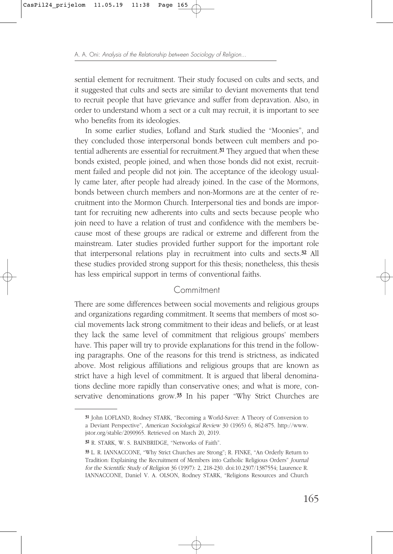sential element for recruitment. Their study focused on cults and sects, and it suggested that cults and sects are similar to deviant movements that tend to recruit people that have grievance and suffer from depravation. Also, in order to understand whom a sect or a cult may recruit, it is important to see who benefits from its ideologies.

In some earlier studies, Lofland and Stark studied the "Moonies", and they concluded those interpersonal bonds between cult members and potential adherents are essential for recruitment.<sup>31</sup> They argued that when these bonds existed, people joined, and when those bonds did not exist, recruitment failed and people did not join. The acceptance of the ideology usually came later, after people had already joined. In the case of the Mormons, bonds between church members and non-Mormons are at the center of recruitment into the Mormon Church. Interpersonal ties and bonds are important for recruiting new adherents into cults and sects because people who join need to have a relation of trust and confidence with the members because most of these groups are radical or extreme and different from the mainstream. Later studies provided further support for the important role that interpersonal relations play in recruitment into cults and sects.32 All these studies provided strong support for this thesis; nonetheless, this thesis has less empirical support in terms of conventional faiths.

#### **Commitment**

There are some differences between social movements and religious groups and organizations regarding commitment. It seems that members of most social movements lack strong commitment to their ideas and beliefs, or at least they lack the same level of commitment that religious groups' members have. This paper will try to provide explanations for this trend in the following paragraphs. One of the reasons for this trend is strictness, as indicated above. Most religious affiliations and religious groups that are known as strict have a high level of commitment. It is argued that liberal denominations decline more rapidly than conservative ones; and what is more, conservative denominations grow.<sup>33</sup> In his paper "Why Strict Churches are

<sup>31</sup> John LOFLAND, Rodney STARK, "Becoming a World-Saver: A Theory of Conversion to a Deviant Perspective", American Sociological Review 30 (1965) 6, 862-875. http://www. jstor.org/stable/2090965. Retrieved on March 20, 2019.

<sup>32</sup> R. STARK, W. S. BAINBRIDGE, "Networks of Faith".

<sup>33</sup> L. R. IANNACCONE, "Why Strict Churches are Strong"; R. FINKE, "An Orderly Return to Tradition: Explaining the Recruitment of Members into Catholic Religious Orders" Journal for the Scientific Study of Religion 36 (1997): 2, 218-230. doi:10.2307/1387554; Laurence R. IANNACCONE, Daniel V. A. OLSON, Rodney STARK, "Religions Resources and Church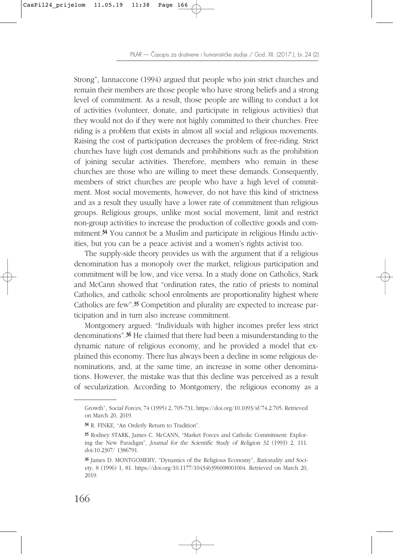PILAR — Časopis za društvene i humanističke studije / God. XII. (2017.), br. 24 (2)

Strong", Iannaccone (1994) argued that people who join strict churches and remain their members are those people who have strong beliefs and a strong level of commitment. As a result, those people are willing to conduct a lot of activities (volunteer, donate, and participate in religious activities) that they would not do if they were not highly committed to their churches. Free riding is a problem that exists in almost all social and religious movements. Raising the cost of participation decreases the problem of free-riding. Strict churches have high cost demands and prohibitions such as the prohibition of joining secular activities. Therefore, members who remain in these churches are those who are willing to meet these demands. Consequently, members of strict churches are people who have a high level of commitment. Most social movements, however, do not have this kind of strictness and as a result they usually have a lower rate of commitment than religious groups. Religious groups, unlike most social movement, limit and restrict non-group activities to increase the production of collective goods and commitment.<sup>34</sup> You cannot be a Muslim and participate in religious Hindu activities, but you can be a peace activist and a women's rights activist too.

The supply-side theory provides us with the argument that if a religious denomination has a monopoly over the market, religious participation and commitment will be low, and vice versa. In a study done on Catholics, Stark and McCann showed that "ordination rates, the ratio of priests to nominal Catholics, and catholic school enrolments are proportionality highest where Catholics are few".35 Competition and plurality are expected to increase participation and in turn also increase commitment.

Montgomery argued: "Individuals with higher incomes prefer less strict denominations".36 He claimed that there had been a misunderstanding to the dynamic nature of religious economy, and he provided a model that explained this economy. There has always been a decline in some religious denominations, and, at the same time, an increase in some other denominations. However, the mistake was that this decline was perceived as a result of secularization. According to Montgomery, the religious economy as a

Growth", Social Forces, 74 (1995) 2, 705-731, https://doi.org/10.1093/sf/74.2.705. Retrieved on March 20, 2019.

<sup>34</sup> R. FINKE, "An Orderly Return to Tradition".

<sup>35</sup> Rodney STARK, James C. McCANN, "Market Forces and Catholic Commitment: Exploring the New Paradigm", Journal for the Scientific Study of Religion 32 (1993) 2, 111. doi:10.2307/ 1386791.

<sup>36</sup> James D. MONTGOMERY, "Dynamics of the Religious Economy", Rationality and Society, 8 (1996) 1, 81. https://doi.org/10.1177/104346396008001004. Retrieved on March 20, 2019.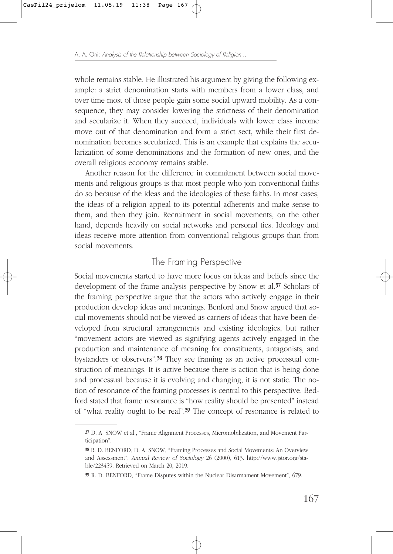whole remains stable. He illustrated his argument by giving the following example: a strict denomination starts with members from a lower class, and over time most of those people gain some social upward mobility. As a consequence, they may consider lowering the strictness of their denomination and secularize it. When they succeed, individuals with lower class income move out of that denomination and form a strict sect, while their first denomination becomes secularized. This is an example that explains the secularization of some denominations and the formation of new ones, and the overall religious economy remains stable.

Another reason for the difference in commitment between social movements and religious groups is that most people who join conventional faiths do so because of the ideas and the ideologies of these faiths. In most cases, the ideas of a religion appeal to its potential adherents and make sense to them, and then they join. Recruitment in social movements, on the other hand, depends heavily on social networks and personal ties. Ideology and ideas receive more attention from conventional religious groups than from social movements.

# The Framing Perspective

Social movements started to have more focus on ideas and beliefs since the development of the frame analysis perspective by Snow et al.<sup>37</sup> Scholars of the framing perspective argue that the actors who actively engage in their production develop ideas and meanings. Benford and Snow argued that social movements should not be viewed as carriers of ideas that have been developed from structural arrangements and existing ideologies, but rather "movement actors are viewed as signifying agents actively engaged in the production and maintenance of meaning for constituents, antagonists, and bystanders or observers".38 They see framing as an active processual construction of meanings. It is active because there is action that is being done and processual because it is evolving and changing, it is not static. The notion of resonance of the framing processes is central to this perspective. Bedford stated that frame resonance is "how reality should be presented" instead of "what reality ought to be real".39 The concept of resonance is related to

<sup>37</sup> D. A. SNOW et al., "Frame Alignment Processes, Micromobilization, and Movement Participation".

<sup>38</sup> R. D. BENFORD, D. A. SNOW, "Framing Processes and Social Movements: An Overview and Assessment", Annual Review of Sociology 26 (2000), 613. http://www.jstor.org/stable/223459. Retrieved on March 20, 2019.

<sup>39</sup> R. D. BENFORD, "Frame Disputes within the Nuclear Disarmament Movement", 679.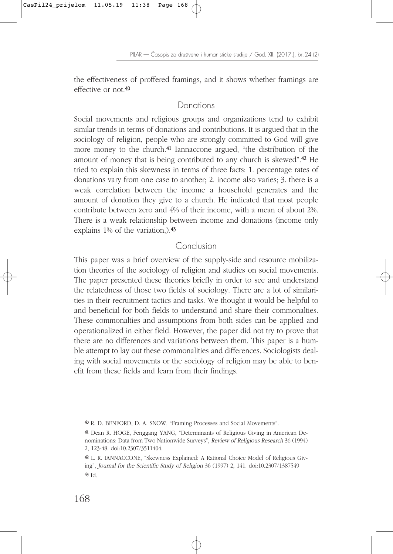the effectiveness of proffered framings, and it shows whether framings are effective or not.40

# Donations

Social movements and religious groups and organizations tend to exhibit similar trends in terms of donations and contributions. It is argued that in the sociology of religion, people who are strongly committed to God will give more money to the church.41 Iannaccone argued, "the distribution of the amount of money that is being contributed to any church is skewed".42 He tried to explain this skewness in terms of three facts: 1. percentage rates of donations vary from one case to another; 2. income also varies; 3. there is a weak correlation between the income a household generates and the amount of donation they give to a church. He indicated that most people contribute between zero and 4% of their income, with a mean of about 2%. There is a weak relationship between income and donations (income only explains 1% of the variation,).<sup>43</sup>

### Conclusion

This paper was a brief overview of the supply-side and resource mobilization theories of the sociology of religion and studies on social movements. The paper presented these theories briefly in order to see and understand the relatedness of those two fields of sociology. There are a lot of similarities in their recruitment tactics and tasks. We thought it would be helpful to and beneficial for both fields to understand and share their commonalties. These commonalties and assumptions from both sides can be applied and operationalized in either field. However, the paper did not try to prove that there are no differences and variations between them. This paper is a humble attempt to lay out these commonalities and differences. Sociologists dealing with social movements or the sociology of religion may be able to benefit from these fields and learn from their findings.

<sup>40</sup> R. D. BENFORD, D. A. SNOW, "Framing Processes and Social Movements".

<sup>41</sup> Dean R. HOGE, Fenggang YANG, "Determinants of Religious Giving in American Denominations: Data from Two Nationwide Surveys", Review of Religious Research 36 (1994) 2, 123-48. doi:10.2307/3511404.

<sup>42</sup> L. R. IANNACCONE, "Skewness Explained: A Rational Choice Model of Religious Giving", Journal for the Scientific Study of Religion 36 (1997) 2, 141. doi:10.2307/1387549 <sup>43</sup> Id.